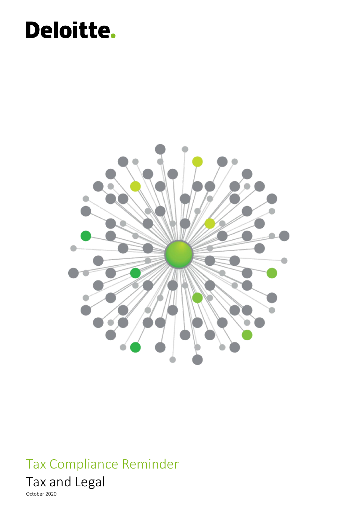# Deloitte.



### Tax Compliance Reminder



October 2020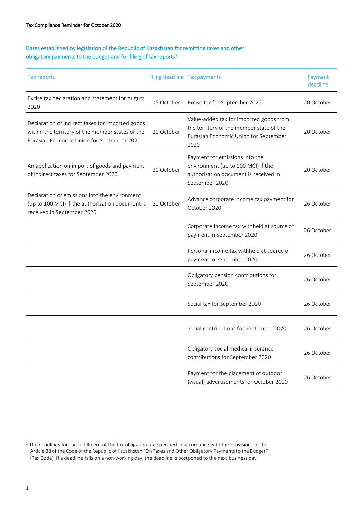#### Dates established by legislation of the Republic of Kazakhstan for remitting taxes and other obligatory payments to the budget and for filing of tax reports<sup>1</sup>

| <b>Tax reports</b>                                                                                                                                 | Filing deadline Tax payments |                                                                                                                                      | Payment<br>deadline |
|----------------------------------------------------------------------------------------------------------------------------------------------------|------------------------------|--------------------------------------------------------------------------------------------------------------------------------------|---------------------|
| Excise tax declaration and statement for August<br>2020                                                                                            | 15 October                   | Excise tax for September 2020                                                                                                        | 20 October          |
| Declaration of indirect taxes for imported goods<br>within the territory of the member states of the<br>Eurasian Economic Union for September 2020 | 20 October                   | Value-added tax for imported goods from<br>the territory of the member state of the<br>Eurasian Economic Union for September<br>2020 | 20 October          |
| An application on import of goods and payment<br>of indirect taxes for September 2020                                                              | 20 October                   | Payment for emissions into the<br>environment (up to 100 MCI) if the<br>authorization document is received in<br>September 2020      | 20 October          |
| Declaration of emissions into the environment<br>(up to 100 MCI) if the authorization document is<br>received in September 2020                    | 20 October                   | Advance corporate income tax payment for<br>October 2020                                                                             | 26 October          |
|                                                                                                                                                    |                              | Corporate income tax withheld at source of<br>payment in September 2020                                                              | 26 October          |
|                                                                                                                                                    |                              | Personal income tax withheld at source of<br>payment in September 2020                                                               | 26 October          |
|                                                                                                                                                    |                              | Obligatory pension contributions for<br>September 2020                                                                               | 26 October          |
|                                                                                                                                                    |                              | Social tax for September 2020                                                                                                        | 26 October          |
|                                                                                                                                                    |                              | Social contributions for September 2020                                                                                              | 26 October          |
|                                                                                                                                                    |                              | Obligatory social medical insurance<br>contributions for September 2020                                                              | 26 October          |
|                                                                                                                                                    |                              | Payment for the placement of outdoor<br>(visual) advertisements for October 2020                                                     | 26 October          |

ł

<sup>&</sup>lt;sup>1</sup> The deadlines for the fulfillment of the tax obligation are specified in accordance with the provisions of the Article 38 of the Code of the Republic of Kazakhstan "On Taxes and Other Obligatory Payments to the Budget" (Tax Code). If a deadline falls on a non-working day, the deadline is postponed to the next business day.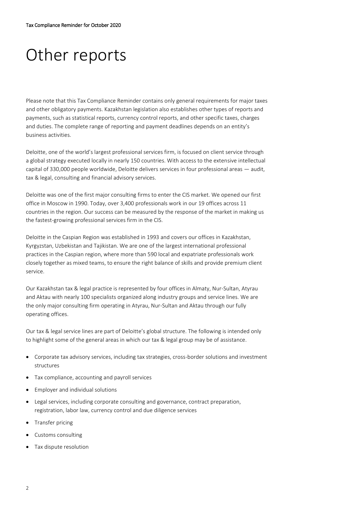## Other reports

Please note that this Tax Compliance Reminder contains only general requirements for major taxes and other obligatory payments. Kazakhstan legislation also establishes other types of reports and payments, such as statistical reports, currency control reports, and other specific taxes, charges and duties. The complete range of reporting and payment deadlines depends on an entity's business activities.

Deloitte, one of the world's largest professional services firm, is focused on client service through a global strategy executed locally in nearly 150 countries. With access to the extensive intellectual capital of 330,000 people worldwide, Deloitte delivers services in four professional areas — audit, tax & legal, consulting and financial advisory services.

Deloitte was one of the first major consulting firms to enter the CIS market. We opened our first office in Moscow in 1990. Today, over 3,400 professionals work in our 19 offices across 11 countries in the region. Our success can be measured by the response of the market in making us the fastest-growing professional services firm in the CIS.

Deloitte in the Caspian Region was established in 1993 and covers our offices in Kazakhstan, Kyrgyzstan, Uzbekistan and Tajikistan. We are one of the largest international professional practices in the Caspian region, where more than 590 local and expatriate professionals work closely together as mixed teams, to ensure the right balance of skills and provide premium client service.

Our Kazakhstan tax & legal practice is represented by four offices in Almaty, Nur-Sultan, Atyrau and Aktau with nearly 100 specialists organized along industry groups and service lines. We are the only major consulting firm operating in Atyrau, Nur-Sultan and Aktau through our fully operating offices.

Our tax & legal service lines are part of Deloitte's global structure. The following is intended only to highlight some of the general areas in which our tax & legal group may be of assistance.

- Corporate tax advisory services, including tax strategies, cross-border solutions and investment structures
- Tax compliance, accounting and payroll services
- Employer and individual solutions
- Legal services, including corporate consulting and governance, contract preparation, registration, labor law, currency control and due diligence services
- Transfer pricing
- Customs consulting
- Tax dispute resolution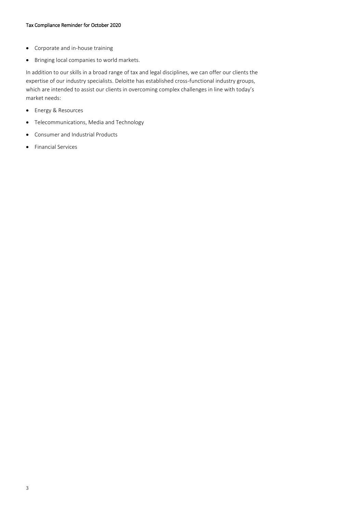- Corporate and in-house training
- Bringing local companies to world markets.

In addition to our skills in a broad range of tax and legal disciplines, we can offer our clients the expertise of our industry specialists. Deloitte has established cross-functional industry groups, which are intended to assist our clients in overcoming complex challenges in line with today's market needs:

- Energy & Resources
- Telecommunications, Media and Technology
- Consumer and Industrial Products
- Financial Services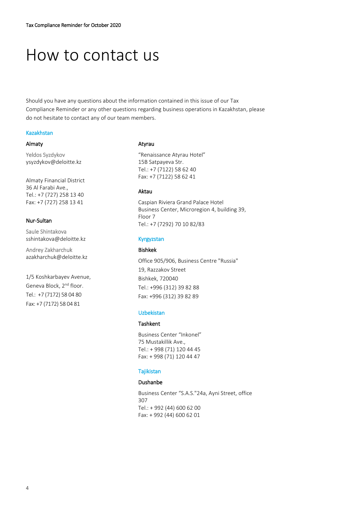## How to contact us

Should you have any questions about the information contained in this issue of our Tax Compliance Reminder or any other questions regarding business operations in Kazakhstan, please do not hesitate to contact any of our team members.

#### Kazakhstan

#### Almaty

Yeldos Syzdykov ysyzdykov@deloitte.kz

Almaty Financial District 36 Al Farabi Ave., Tel.: +7 (727) 258 13 40 Fax: +7 (727) 258 13 41

#### Nur-Sultan

Saule Shintakova [sshintakova@deloitte.kz](file:///C:/Users/AppData/Local/Microsoft/Windows/Temporary%20Internet%20Files/Content.Outlook/AppData/Local/Microsoft/Windows/AppData/Local/Microsoft/Windows/AppData/Local/Microsoft/Windows/Temporary%20Internet%20Files/Content.Outlook/K9D0420X/Current%20docs/Work/T&L/T&L_Alerts/Application%20Data/Local%20Settings/Temp/Local%20Settings/2007/Local%20Settings/sdissenova/Local%20Settings/aabdaliyeva/Local%20Settings/Local%20Settings/tzhursunov/My%20Documents/Publications/Tax%20Alerts/sshintakova@deloitte.kz) 

Andrey Zakharchuk azakharchuk@deloitte.kz

1/5 Koshkarbayev Avenue, Geneva Block, 2nd floor. Tel.: +7 (7172) 58 04 80 Fax: +7 (7172) 58 04 81

#### Atyrau

"Renaissance Atyrau Hotel" 15B Satpayeva Str. Tel.: +7 (7122) 58 62 40 Fax: +7 (7122) 58 62 41

#### Aktau

Caspian Riviera Grand Palace Hotel Business Center, Microregion 4, building 39, Floor 7 Tel.: +7 (7292) 70 10 82/83

#### Kyrgyzstan

#### Bishkek

Office 905/906, Business Centre "Russia" 19, Razzakov Street Bishkek, 720040 Tel.: +996 (312) 39 82 88 Fax: +996 (312) 39 82 89

#### Uzbekistan

#### Tashkent

Business Center "Inkonel" 75 Mustakillik Ave., Tel.: + 998 (71) 120 44 45 Fax: + 998 (71) 120 44 47

#### Tajikistan

#### Dushanbe

Business Center "S.А.S."24a, Ayni Street, office 307 Tel.: + 992 (44) 600 62 00 Fax: + 992 (44) 600 62 01